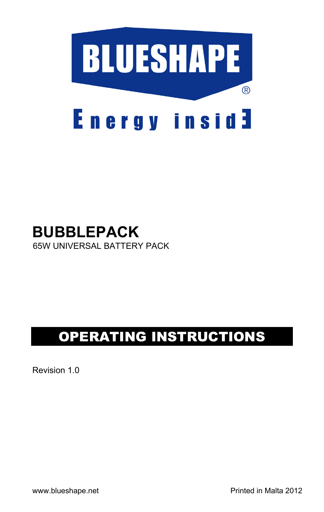

# **BUBBLEPACK** 65W UNIVERSAL BATTERY PACK

# OPERATING INSTRUCTIONS

Revision 1.0

www.blueshape.net example and printed in Malta 2012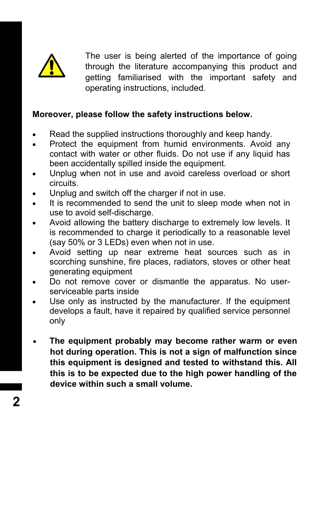

The user is being alerted of the importance of going through the literature accompanying this product and getting familiarised with the important safety and operating instructions, included.

## **Moreover, please follow the safety instructions below.**

- Read the supplied instructions thoroughly and keep handy.
- Protect the equipment from humid environments. Avoid any contact with water or other fluids. Do not use if any liquid has been accidentally spilled inside the equipment.
- Unplug when not in use and avoid careless overload or short circuits.
- Unplug and switch off the charger if not in use.
- It is recommended to send the unit to sleep mode when not in use to avoid self-discharge.
- Avoid allowing the battery discharge to extremely low levels. It is recommended to charge it periodically to a reasonable level (say 50% or 3 LEDs) even when not in use.
- Avoid setting up near extreme heat sources such as in scorching sunshine, fire places, radiators, stoves or other heat generating equipment
- Do not remove cover or dismantle the apparatus. No userserviceable parts inside
- Use only as instructed by the manufacturer. If the equipment develops a fault, have it repaired by qualified service personnel only
- **The equipment probably may become rather warm or even hot during operation. This is not a sign of malfunction since this equipment is designed and tested to withstand this. All this is to be expected due to the high power handling of the device within such a small volume.**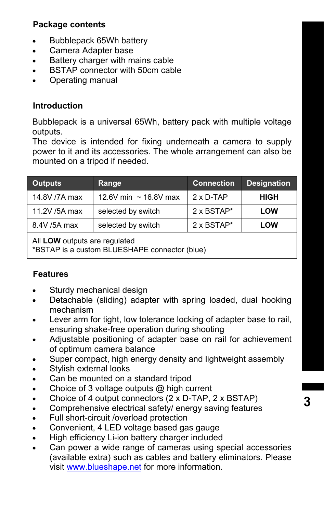# **Package contents**

- Bubblepack 65Wh battery
- Camera Adapter base
- Battery charger with mains cable
- BSTAP connector with 50cm cable
- Operating manual

# **Introduction**

Bubblepack is a universal 65Wh, battery pack with multiple voltage outputs.

The device is intended for fixing underneath a camera to supply power to it and its accessories. The whole arrangement can also be mounted on a tripod if needed.

| <b>Outputs</b> | Range                      | <b>Connection</b> | <b>Designation</b> |
|----------------|----------------------------|-------------------|--------------------|
| 14.8V /7A max  | 12.6V min $\sim$ 16.8V max | $2 \times D-TAP$  | <b>HIGH</b>        |
| 11.2V /5A max  | selected by switch         | 2 x BSTAP*        | <b>LOW</b>         |
| 8.4V /5A max   | selected by switch         | 2 x BSTAP*        | <b>LOW</b>         |

All **LOW** outputs are regulated

\*BSTAP is a custom BLUESHAPE connector (blue)

# **Features**

- Sturdy mechanical design
- Detachable (sliding) adapter with spring loaded, dual hooking mechanism
- Lever arm for tight, low tolerance locking of adapter base to rail, ensuring shake-free operation during shooting
- Adjustable positioning of adapter base on rail for achievement of optimum camera balance
- Super compact, high energy density and lightweight assembly
- Stylish external looks
- Can be mounted on a standard tripod
- Choice of 3 voltage outputs @ high current
- Choice of 4 output connectors (2 x D-TAP, 2 x BSTAP)
- Comprehensive electrical safety/ energy saving features
- Full short-circuit /overload protection
- Convenient, 4 LED voltage based gas gauge
- High efficiency Li-ion battery charger included
- Can power a wide range of cameras using special accessories (available extra) such as cables and battery eliminators. Please visit www.blueshape.net for more information.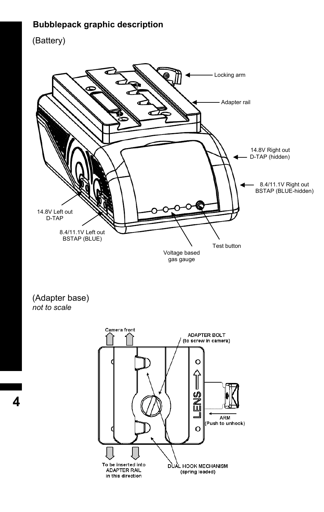# **Bubblepack graphic description**

(Battery)



(Adapter base) *not to scale*



**4**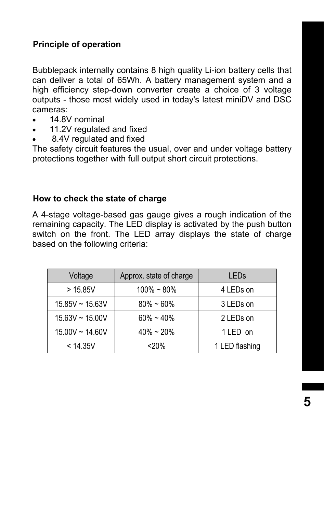# **Principle of operation**

Bubblepack internally contains 8 high quality Li-ion battery cells that can deliver a total of 65Wh. A battery management system and a high efficiency step-down converter create a choice of 3 voltage outputs - those most widely used in today's latest miniDV and DSC cameras:

- 14.8V nominal
- 11.2V regulated and fixed
- 8.4V regulated and fixed

The safety circuit features the usual, over and under voltage battery protections together with full output short circuit protections.

#### **How to check the state of charge**

A 4-stage voltage-based gas gauge gives a rough indication of the remaining capacity. The LED display is activated by the push button switch on the front. The LED array displays the state of charge based on the following criteria:

| Voltage           | Approx. state of charge | LEDs           |
|-------------------|-------------------------|----------------|
| > 15.85V          | $100\% - 80\%$          | 4 LEDs on      |
| $15.85V - 15.63V$ | $80\% - 60\%$           | 3 LEDs on      |
| $15.63V - 15.00V$ | $60\% - 40\%$           | 2 LEDs on      |
| 15.00V ~ 14.60V   | $40\% \sim 20\%$        | 1 LED on       |
| < 14.35V          | <20%                    | 1 LED flashing |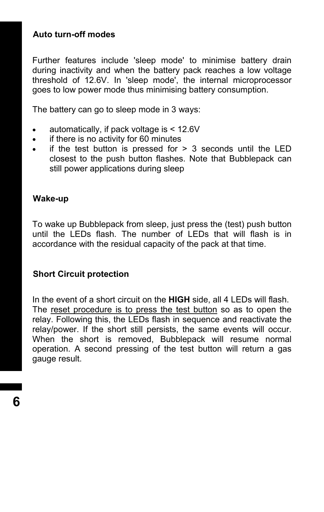# **Auto turn-off modes**

Further features include 'sleep mode' to minimise battery drain during inactivity and when the battery pack reaches a low voltage threshold of 12.6V. In 'sleep mode', the internal microprocessor goes to low power mode thus minimising battery consumption.

The battery can go to sleep mode in 3 ways:

- automatically, if pack voltage is < 12.6V
- if there is no activity for 60 minutes
- $\bullet$  if the test button is pressed for  $> 3$  seconds until the LED closest to the push button flashes. Note that Bubblepack can still power applications during sleep

#### **Wake-up**

To wake up Bubblepack from sleep, just press the (test) push button until the LEDs flash. The number of LEDs that will flash is in accordance with the residual capacity of the pack at that time.

# **Short Circuit protection**

In the event of a short circuit on the **HIGH** side, all 4 LEDs will flash. The reset procedure is to press the test button so as to open the relay. Following this, the LEDs flash in sequence and reactivate the relay/power. If the short still persists, the same events will occur. When the short is removed, Bubblepack will resume normal operation. A second pressing of the test button will return a gas gauge result.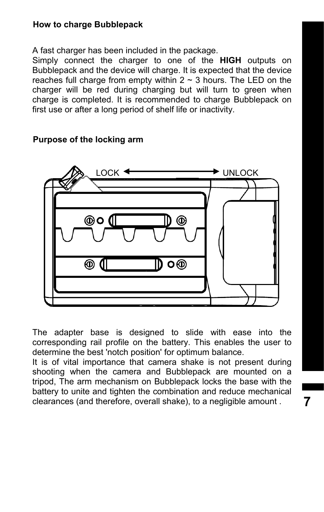## **How to charge Bubblepack**

A fast charger has been included in the package.

Simply connect the charger to one of the **HIGH** outputs on Bubblepack and the device will charge. It is expected that the device reaches full charge from empty within  $2 \sim 3$  hours. The LED on the charger will be red during charging but will turn to green when charge is completed. It is recommended to charge Bubblepack on first use or after a long period of shelf life or inactivity.



## **Purpose of the locking arm**

The adapter base is designed to slide with ease into the corresponding rail profile on the battery. This enables the user to determine the best 'notch position' for optimum balance.

It is of vital importance that camera shake is not present during shooting when the camera and Bubblepack are mounted on a tripod, The arm mechanism on Bubblepack locks the base with the battery to unite and tighten the combination and reduce mechanical clearances (and therefore, overall shake), to a negligible amount .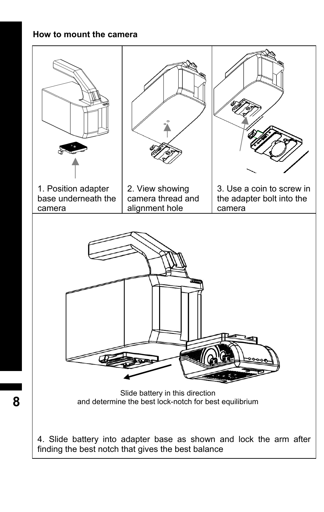# **How to mount the camera**

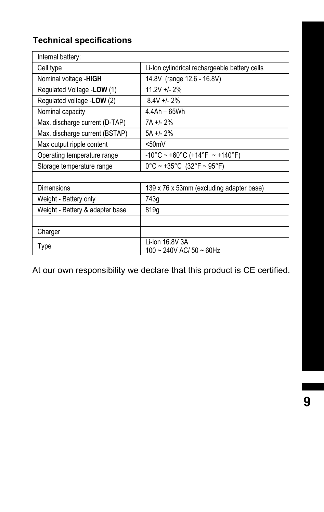# **Technical specifications**

| Internal battery:               |                                               |
|---------------------------------|-----------------------------------------------|
| Cell type                       | Li-lon cylindrical rechargeable battery cells |
| Nominal voltage -HIGH           | 14.8V (range 12.6 - 16.8V)                    |
| Regulated Voltage - LOW (1)     | $11.2V + 2%$                                  |
| Regulated voltage - LOW (2)     | $8.4V + 2%$                                   |
| Nominal capacity                | 4.4Ah - 65Wh                                  |
| Max. discharge current (D-TAP)  | 7A +/- 2%                                     |
| Max. discharge current (BSTAP)  | $5A + 2\%$                                    |
| Max output ripple content       | < 50mV                                        |
| Operating temperature range     | $-10^{\circ}$ C ~ +60°C (+14°F ~ +140°F)      |
| Storage temperature range       | $0^{\circ}$ C ~ +35°C (32°F ~ 95°F)           |
|                                 |                                               |
| Dimensions                      | 139 x 76 x 53mm (excluding adapter base)      |
| Weight - Battery only           | 743g                                          |
| Weight - Battery & adapter base | 819g                                          |
|                                 |                                               |
| Charger                         |                                               |
| Type                            | Li-ion 16.8V 3A<br>100 ~ 240V AC/ 50 ~ 60Hz   |

At our own responsibility we declare that this product is CE certified.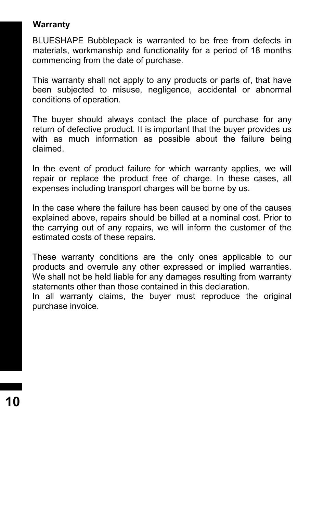# **Warranty**

BLUESHAPE Bubblepack is warranted to be free from defects in materials, workmanship and functionality for a period of 18 months commencing from the date of purchase.

This warranty shall not apply to any products or parts of, that have been subjected to misuse, negligence, accidental or abnormal conditions of operation.

The buyer should always contact the place of purchase for any return of defective product. It is important that the buyer provides us with as much information as possible about the failure being claimed.

In the event of product failure for which warranty applies, we will repair or replace the product free of charge. In these cases, all expenses including transport charges will be borne by us.

In the case where the failure has been caused by one of the causes explained above, repairs should be billed at a nominal cost. Prior to the carrying out of any repairs, we will inform the customer of the estimated costs of these repairs.

These warranty conditions are the only ones applicable to our products and overrule any other expressed or implied warranties. We shall not be held liable for any damages resulting from warranty statements other than those contained in this declaration.

In all warranty claims, the buyer must reproduce the original purchase invoice.